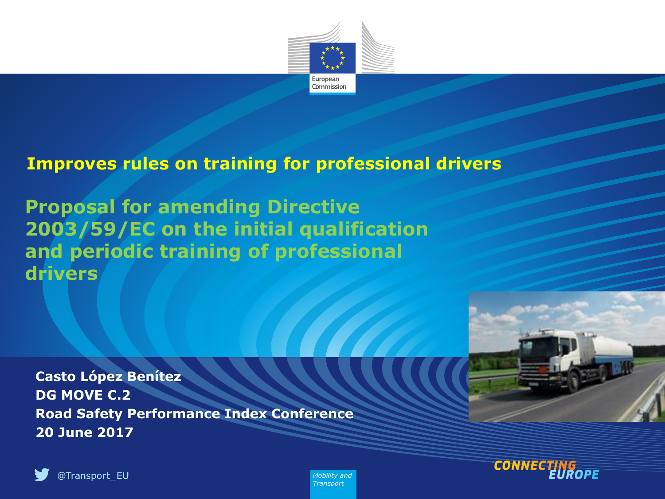

#### **Improves rules on training for professional drivers**

**Proposal for amending Directive 2003/59/EC on the initial qualification and periodic training of professional drivers**

**Casto López Benítez DG MOVE C.2 Road Safety Performance Index Conference 20 June 2017**



*Mobility and Transport*

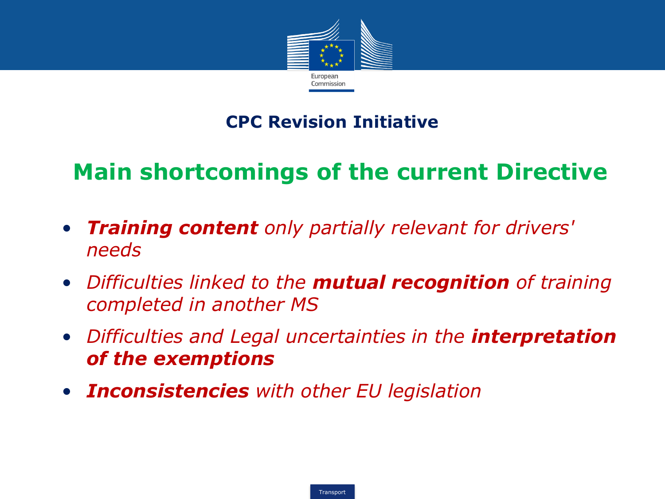

# **Main shortcomings of the current Directive**

- *Training content only partially relevant for drivers' needs*
- *Difficulties linked to the mutual recognition of training completed in another MS*
- *Difficulties and Legal uncertainties in the interpretation of the exemptions*
- *Inconsistencies with other EU legislation*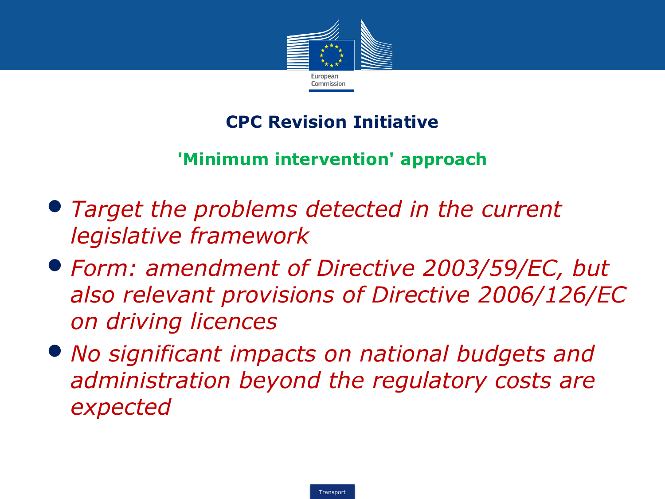

**'Minimum intervention' approach**

- *Target the problems detected in the current legislative framework*
- *Form: amendment of Directive 2003/59/EC, but also relevant provisions of Directive 2006/126/EC on driving licences*
- *No significant impacts on national budgets and administration beyond the regulatory costs are expected*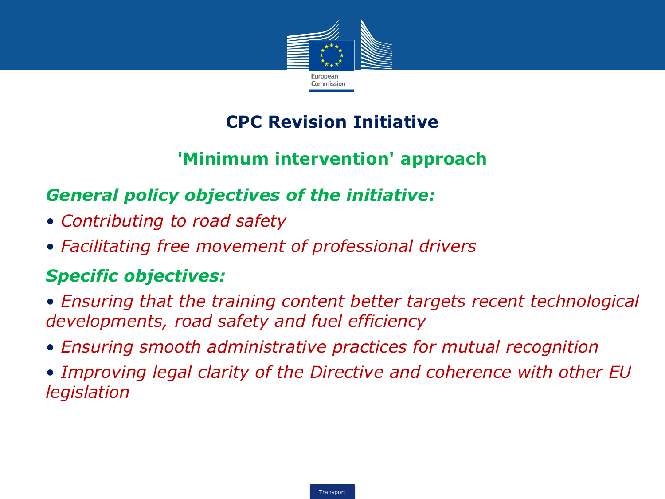

### **'Minimum intervention' approach**

#### *General policy objectives of the initiative:*

- *Contributing to road safety*
- *Facilitating free movement of professional drivers*

#### *Specific objectives:*

• *Ensuring that the training content better targets recent technological developments, road safety and fuel efficiency*

• *Ensuring smooth administrative practices for mutual recognition*

• *Improving legal clarity of the Directive and coherence with other EU legislation*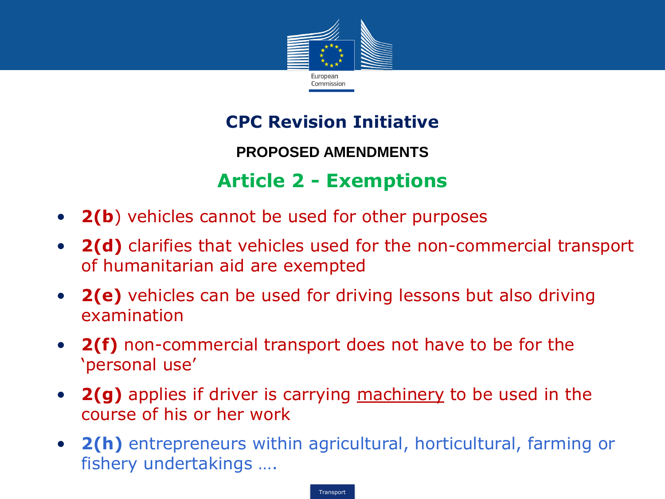

**PROPOSED AMENDMENTS**

# **Article 2 - Exemptions**

- **2(b**) vehicles cannot be used for other purposes
- **2(d)** clarifies that vehicles used for the non-commercial transport of humanitarian aid are exempted
- **2(e)** vehicles can be used for driving lessons but also driving examination
- **2(f)** non-commercial transport does not have to be for the 'personal use'
- **2(g)** applies if driver is carrying machinery to be used in the course of his or her work
- **2(h)** entrepreneurs within agricultural, horticultural, farming or fishery undertakings ….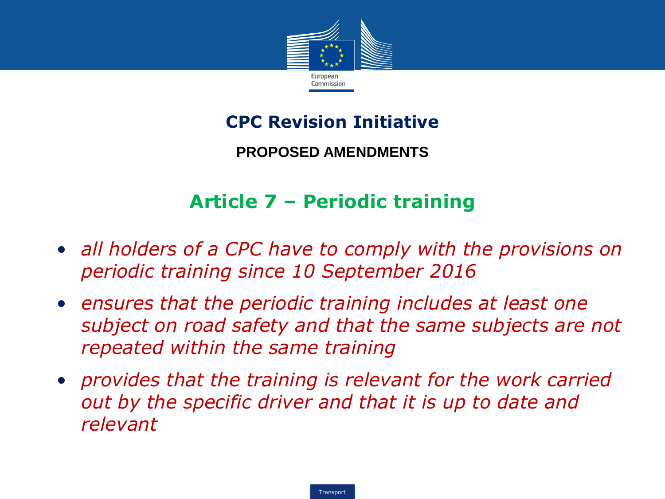

**PROPOSED AMENDMENTS**

### **Article 7 – Periodic training**

- *all holders of a CPC have to comply with the provisions on periodic training since 10 September 2016*
- *ensures that the periodic training includes at least one subject on road safety and that the same subjects are not repeated within the same training*
- *provides that the training is relevant for the work carried out by the specific driver and that it is up to date and relevant*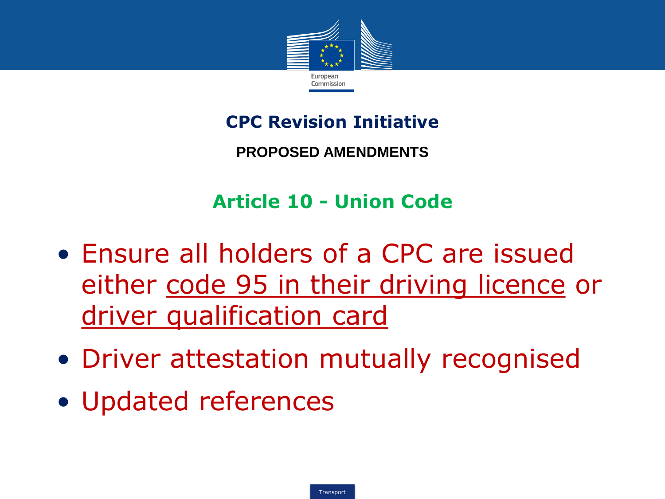

**PROPOSED AMENDMENTS**

# **Article 10 - Union Code**

- Ensure all holders of a CPC are issued either code 95 in their driving licence or driver qualification card
- Driver attestation mutually recognised
- Updated references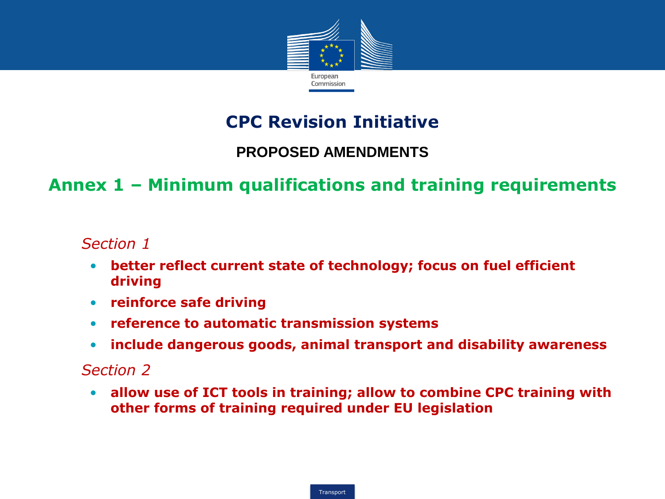

**PROPOSED AMENDMENTS**

#### **Annex 1 – Minimum qualifications and training requirements**

#### • *Section 1*

- **better reflect current state of technology; focus on fuel efficient driving**
- **reinforce safe driving**
- **reference to automatic transmission systems**
- **include dangerous goods, animal transport and disability awareness**

#### • *Section 2*

• **allow use of ICT tools in training; allow to combine CPC training with other forms of training required under EU legislation**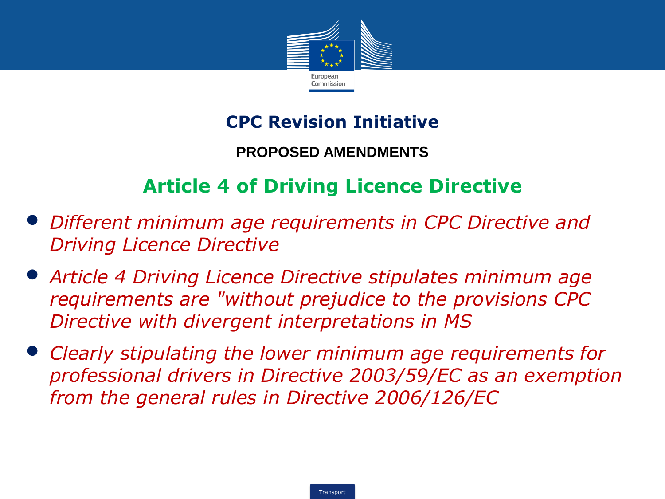

#### **PROPOSED AMENDMENTS**

# **Article 4 of Driving Licence Directive**

- *Different minimum age requirements in CPC Directive and Driving Licence Directive*
- *Article 4 Driving Licence Directive stipulates minimum age requirements are "without prejudice to the provisions CPC Directive with divergent interpretations in MS*
- *Clearly stipulating the lower minimum age requirements for professional drivers in Directive 2003/59/EC as an exemption from the general rules in Directive 2006/126/EC*